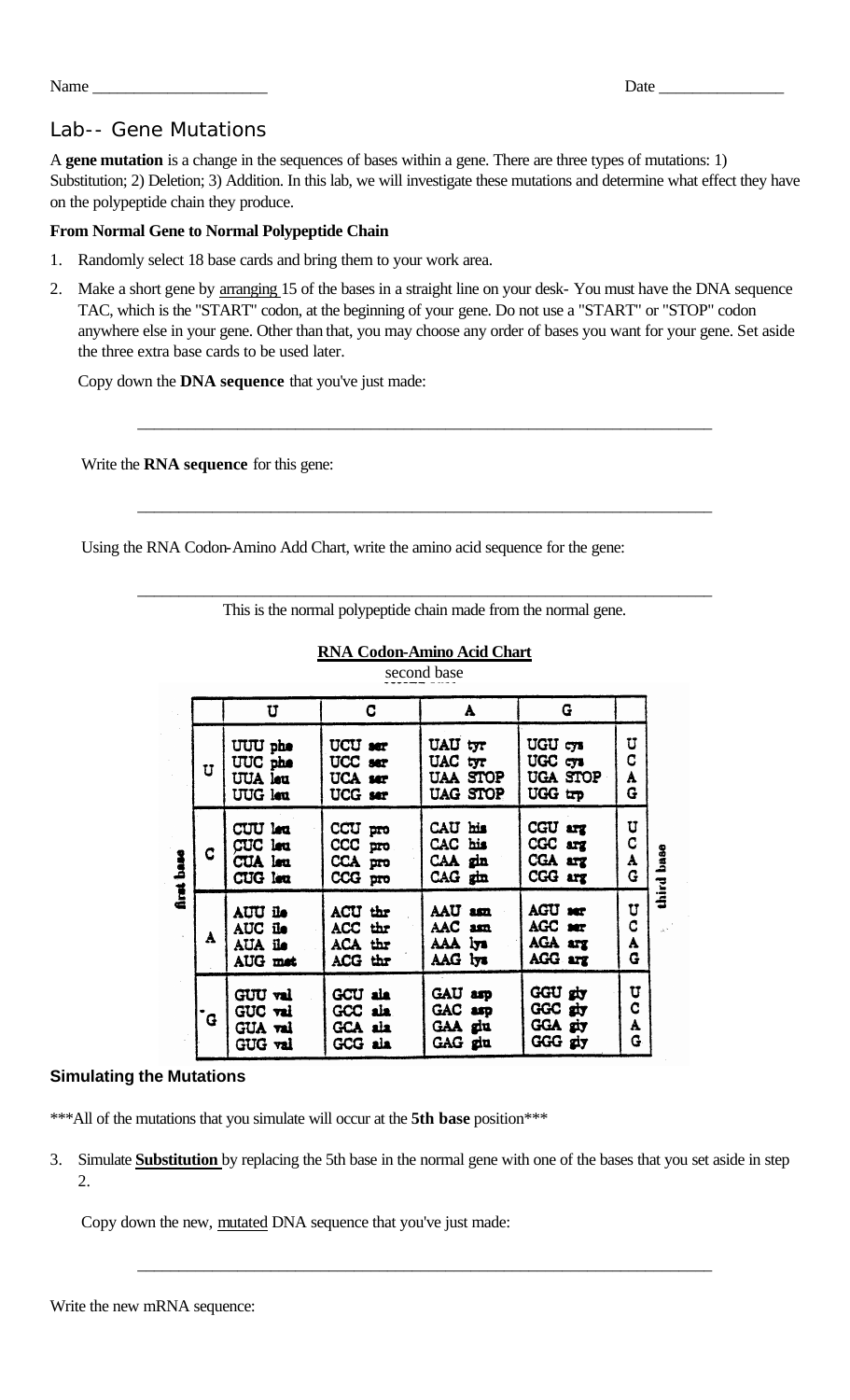| - -<br><u>в і</u><br>$-1$<br>Date<br>iname<br>. . |  |
|---------------------------------------------------|--|
|---------------------------------------------------|--|

# Lab-- Gene Mutations

A **gene mutation** is a change in the sequences of bases within a gene. There are three types of mutations: 1) Substitution; 2) Deletion; 3) Addition. In this lab, we will investigate these mutations and determine what effect they have on the polypeptide chain they produce.

## **From Normal Gene to Normal Polypeptide Chain**

- 1. Randomly select 18 base cards and bring them to your work area.
- 2. Make a short gene by arranging 15 of the bases in a straight line on your desk- You must have the DNA sequence TAC, which is the "START" codon, at the beginning of your gene. Do not use a "START" or "STOP" codon anywhere else in your gene. Other than that, you may choose any order of bases you want for your gene. Set aside the three extra base cards to be used later.

\_\_\_\_\_\_\_\_\_\_\_\_\_\_\_\_\_\_\_\_\_\_\_\_\_\_\_\_\_\_\_\_\_\_\_\_\_\_\_\_\_\_\_\_\_\_\_\_\_\_\_\_\_\_\_\_\_\_\_\_\_\_\_\_\_\_\_\_\_

\_\_\_\_\_\_\_\_\_\_\_\_\_\_\_\_\_\_\_\_\_\_\_\_\_\_\_\_\_\_\_\_\_\_\_\_\_\_\_\_\_\_\_\_\_\_\_\_\_\_\_\_\_\_\_\_\_\_\_\_\_\_\_\_\_\_\_\_\_

Copy down the **DNA sequence** that you've just made:

Write the **RNA sequence** for this gene:

Using the RNA Codon-Amino Add Chart, write the amino acid sequence for the gene:

| This is the normal polypeptide chain made from the normal gene. |  |
|-----------------------------------------------------------------|--|

|                                 |   | U                                               | C.                                                    | A                                                 | G                                         |                                |             |  |  |
|---------------------------------|---|-------------------------------------------------|-------------------------------------------------------|---------------------------------------------------|-------------------------------------------|--------------------------------|-------------|--|--|
| base<br>$\overline{\mathbf{a}}$ | U | UUU phe<br>UUC phe<br>UUA leu<br>UUG leu        | UCU ser<br>UCC ser<br>UCA ser<br>UCG ser              | UAU tyr<br>UAC tyr<br>UAA STOP<br><b>UAG STOP</b> | UGU cys<br>UGC cys<br>UGA STOP<br>UGG trp | U<br>C<br>A<br>G               |             |  |  |
|                                 | C | CUU lea<br>CUC leu<br><b>CUA</b> leu<br>CUG lea | CCU pro<br>$CCC$ <sub>pro</sub><br>CCA pro<br>CCG pro | CAU his<br>CAC his<br>CAA gin<br>$CAG$ $gth$      | CGU arg<br>CGC arg<br>CGA arg<br>CGG arg  | U<br>C<br>A<br>G               | base        |  |  |
|                                 | A | AUU ile<br>AUC ile<br>AUA ile<br>AUG met        | ACU thr<br>ACC thr<br>ACA thr<br>ACG thr              | AAU am<br>AAC am<br>AAA iya<br>AAG lys            | AGU ser<br>AGC ser<br>AGA arg<br>AGG arg  | U<br>C<br>A<br>G               | third<br>i. |  |  |
|                                 | G | GUU val<br>GUC val<br>GUA val<br>GUG val        | <b>GCU ala</b><br>GCC ala<br>GCA ala<br>GCG ala       | GAU arp<br>GAC arp<br>GAA glu<br>GAG glu          | GGU giy<br>GGC giv<br>GGA giy<br>GGG giy  | U<br>$\overline{c}$<br>A<br>G. |             |  |  |

### **RNA Codon-Amino Acid Chart** second base

## **Simulating the Mutations**

\*\*\*All of the mutations that you simulate will occur at the 5th base position\*\*\*

3. Simulate **Substitution** by replacing the 5th base in the normal gene with one of the bases that you set aside in step  $\mathcal{D}_{\mathcal{L}}$ 

\_\_\_\_\_\_\_\_\_\_\_\_\_\_\_\_\_\_\_\_\_\_\_\_\_\_\_\_\_\_\_\_\_\_\_\_\_\_\_\_\_\_\_\_\_\_\_\_\_\_\_\_\_\_\_\_\_\_\_\_\_\_\_\_\_\_\_\_\_

Copy down the new, mutated DNA sequence that you've just made: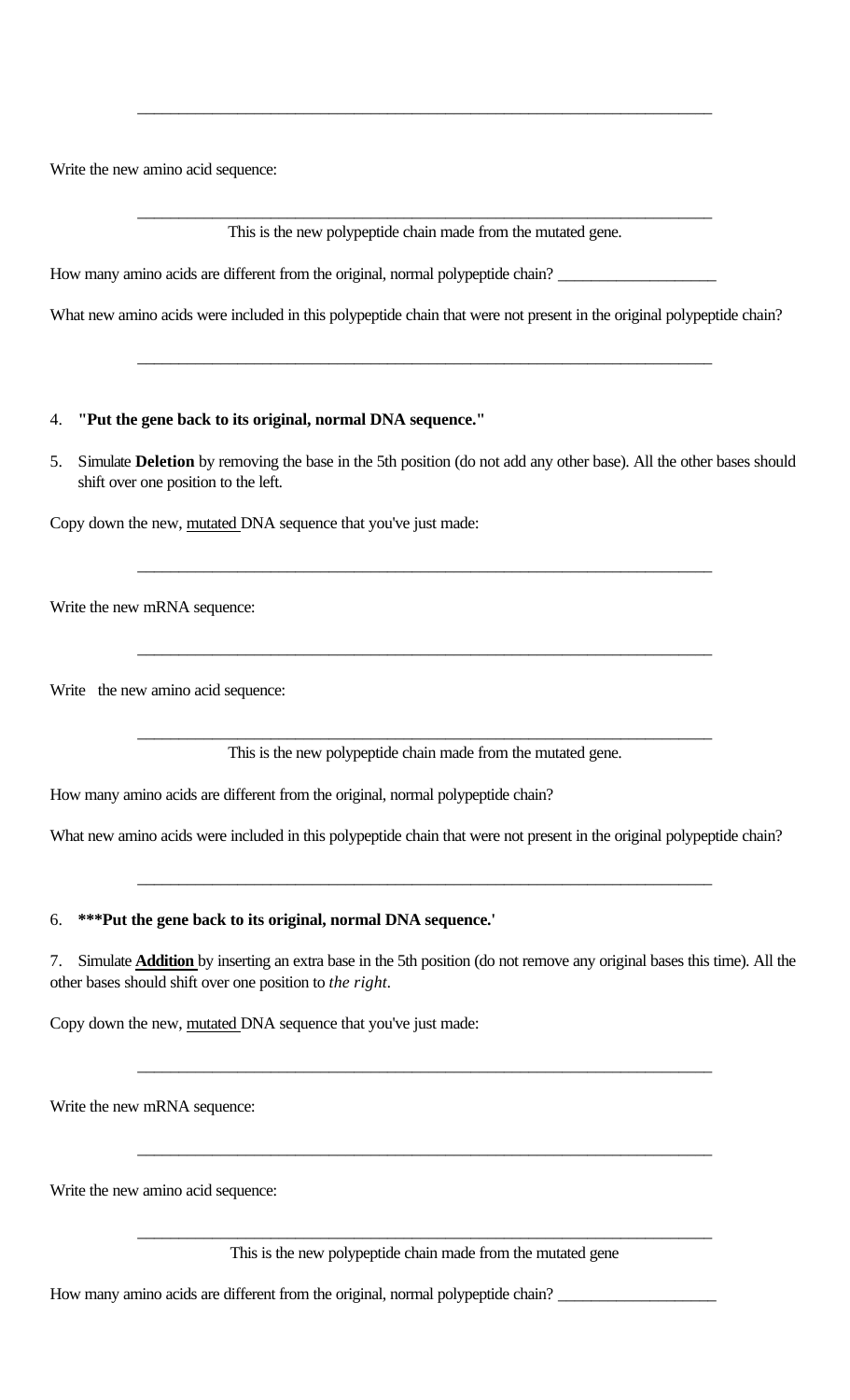Write the new amino acid sequence:

\_\_\_\_\_\_\_\_\_\_\_\_\_\_\_\_\_\_\_\_\_\_\_\_\_\_\_\_\_\_\_\_\_\_\_\_\_\_\_\_\_\_\_\_\_\_\_\_\_\_\_\_\_\_\_\_\_\_\_\_\_\_\_\_\_\_\_\_\_ This is the new polypeptide chain made from the mutated gene.

\_\_\_\_\_\_\_\_\_\_\_\_\_\_\_\_\_\_\_\_\_\_\_\_\_\_\_\_\_\_\_\_\_\_\_\_\_\_\_\_\_\_\_\_\_\_\_\_\_\_\_\_\_\_\_\_\_\_\_\_\_\_\_\_\_\_\_\_\_

How many amino acids are different from the original, normal polypeptide chain? \_\_\_\_\_\_\_\_\_\_\_\_\_\_\_\_\_\_\_

What new amino acids were included in this polypeptide chain that were not present in the original polypeptide chain?

\_\_\_\_\_\_\_\_\_\_\_\_\_\_\_\_\_\_\_\_\_\_\_\_\_\_\_\_\_\_\_\_\_\_\_\_\_\_\_\_\_\_\_\_\_\_\_\_\_\_\_\_\_\_\_\_\_\_\_\_\_\_\_\_\_\_\_\_\_

#### 4. **"Put the gene back to its original, normal DNA sequence."**

5. Simulate **Deletion** by removing the base in the 5th position (do not add any other base). All the other bases should shift over one position to the left.

\_\_\_\_\_\_\_\_\_\_\_\_\_\_\_\_\_\_\_\_\_\_\_\_\_\_\_\_\_\_\_\_\_\_\_\_\_\_\_\_\_\_\_\_\_\_\_\_\_\_\_\_\_\_\_\_\_\_\_\_\_\_\_\_\_\_\_\_\_

\_\_\_\_\_\_\_\_\_\_\_\_\_\_\_\_\_\_\_\_\_\_\_\_\_\_\_\_\_\_\_\_\_\_\_\_\_\_\_\_\_\_\_\_\_\_\_\_\_\_\_\_\_\_\_\_\_\_\_\_\_\_\_\_\_\_\_\_\_

Copy down the new, mutated DNA sequence that you've just made:

Write the new mRNA sequence:

Write the new amino acid sequence:

\_\_\_\_\_\_\_\_\_\_\_\_\_\_\_\_\_\_\_\_\_\_\_\_\_\_\_\_\_\_\_\_\_\_\_\_\_\_\_\_\_\_\_\_\_\_\_\_\_\_\_\_\_\_\_\_\_\_\_\_\_\_\_\_\_\_\_\_\_ This is the new polypeptide chain made from the mutated gene.

How many amino acids are different from the original, normal polypeptide chain?

What new amino acids were included in this polypeptide chain that were not present in the original polypeptide chain?

\_\_\_\_\_\_\_\_\_\_\_\_\_\_\_\_\_\_\_\_\_\_\_\_\_\_\_\_\_\_\_\_\_\_\_\_\_\_\_\_\_\_\_\_\_\_\_\_\_\_\_\_\_\_\_\_\_\_\_\_\_\_\_\_\_\_\_\_\_

### 6. **\*\*\*Put the gene back to its original, normal DNA sequence.'**

7. Simulate **Addition** by inserting an extra base in the 5th position (do not remove any original bases this time). All the other bases should shift over one position to *the right.*

\_\_\_\_\_\_\_\_\_\_\_\_\_\_\_\_\_\_\_\_\_\_\_\_\_\_\_\_\_\_\_\_\_\_\_\_\_\_\_\_\_\_\_\_\_\_\_\_\_\_\_\_\_\_\_\_\_\_\_\_\_\_\_\_\_\_\_\_\_

\_\_\_\_\_\_\_\_\_\_\_\_\_\_\_\_\_\_\_\_\_\_\_\_\_\_\_\_\_\_\_\_\_\_\_\_\_\_\_\_\_\_\_\_\_\_\_\_\_\_\_\_\_\_\_\_\_\_\_\_\_\_\_\_\_\_\_\_\_

Copy down the new, mutated DNA sequence that you've just made:

Write the new mRNA sequence:

Write the new amino acid sequence:

\_\_\_\_\_\_\_\_\_\_\_\_\_\_\_\_\_\_\_\_\_\_\_\_\_\_\_\_\_\_\_\_\_\_\_\_\_\_\_\_\_\_\_\_\_\_\_\_\_\_\_\_\_\_\_\_\_\_\_\_\_\_\_\_\_\_\_\_\_ This is the new polypeptide chain made from the mutated gene

How many amino acids are different from the original, normal polypeptide chain? \_\_\_\_\_\_\_\_\_\_\_\_\_\_\_\_\_\_\_